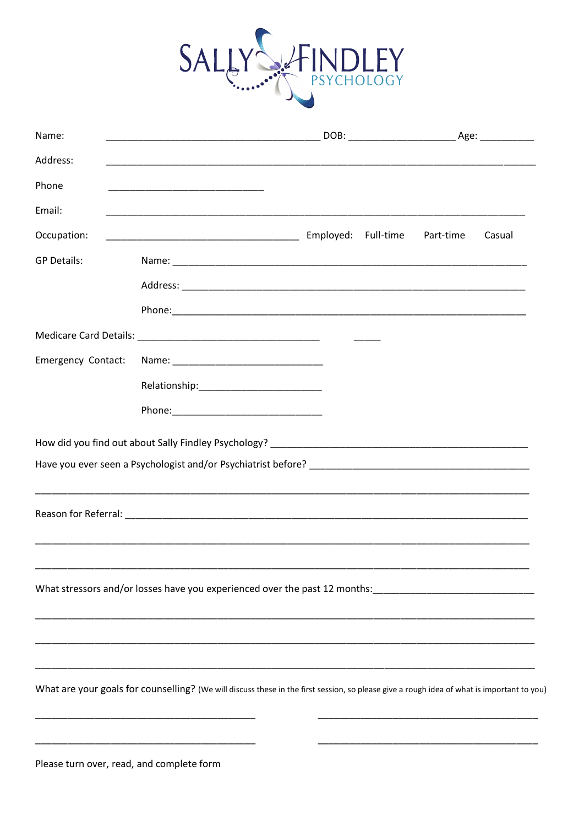

| Name:              |                                                                                                                                            |                     |
|--------------------|--------------------------------------------------------------------------------------------------------------------------------------------|---------------------|
| Address:           |                                                                                                                                            |                     |
| Phone              | <u> 1999 - Johann John Stone, mars et al. (</u>                                                                                            |                     |
| Email:             |                                                                                                                                            |                     |
| Occupation:        |                                                                                                                                            | Casual<br>Part-time |
| <b>GP Details:</b> |                                                                                                                                            |                     |
|                    |                                                                                                                                            |                     |
|                    |                                                                                                                                            |                     |
|                    |                                                                                                                                            |                     |
|                    |                                                                                                                                            |                     |
| Emergency Contact: |                                                                                                                                            |                     |
|                    |                                                                                                                                            |                     |
|                    |                                                                                                                                            |                     |
|                    |                                                                                                                                            |                     |
|                    |                                                                                                                                            |                     |
|                    |                                                                                                                                            |                     |
|                    |                                                                                                                                            |                     |
|                    |                                                                                                                                            |                     |
|                    |                                                                                                                                            |                     |
|                    |                                                                                                                                            |                     |
|                    | What stressors and/or losses have you experienced over the past 12 months: ___________________________________                             |                     |
|                    |                                                                                                                                            |                     |
|                    |                                                                                                                                            |                     |
|                    |                                                                                                                                            |                     |
|                    | What are your goals for counselling? (We will discuss these in the first session, so please give a rough idea of what is important to you) |                     |
|                    |                                                                                                                                            |                     |
|                    |                                                                                                                                            |                     |

Please turn over, read, and complete form